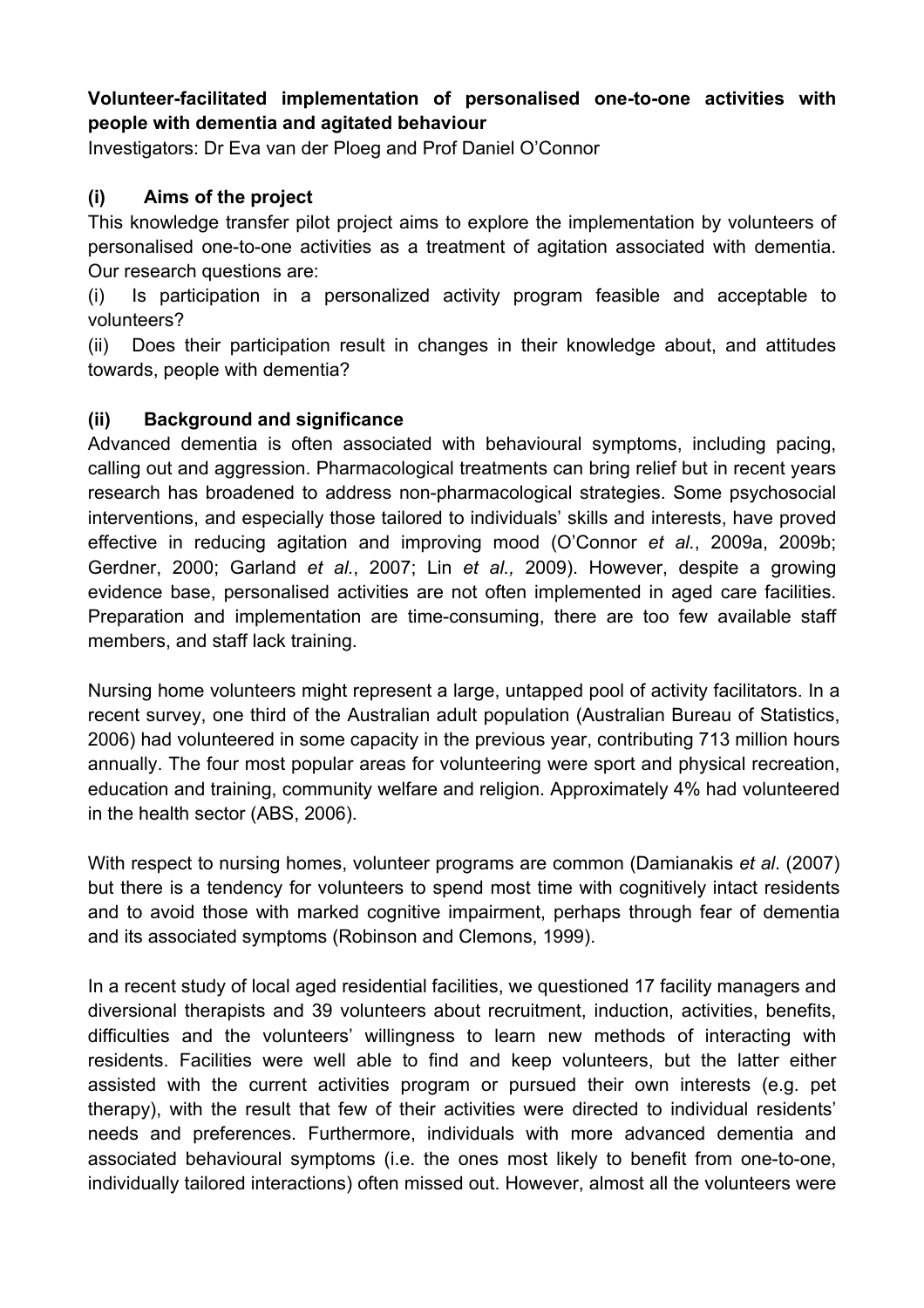## **Volunteer-facilitated implementation of personalised one-to-one activities with people with dementia and agitated behaviour**

Investigators: Dr Eva van der Ploeg and Prof Daniel O'Connor

## **(i) Aims of the project**

This knowledge transfer pilot project aims to explore the implementation by volunteers of personalised one-to-one activities as a treatment of agitation associated with dementia. Our research questions are:

(i) Is participation in a personalized activity program feasible and acceptable to volunteers?

(ii) Does their participation result in changes in their knowledge about, and attitudes towards, people with dementia?

### **(ii) Background and significance**

Advanced dementia is often associated with behavioural symptoms, including pacing, calling out and aggression. Pharmacological treatments can bring relief but in recent years research has broadened to address non-pharmacological strategies. Some psychosocial interventions, and especially those tailored to individuals' skills and interests, have proved effective in reducing agitation and improving mood (O'Connor *et al.*, 2009a, 2009b; Gerdner, 2000; Garland *et al.*, 2007; Lin *et al.,* 2009). However, despite a growing evidence base, personalised activities are not often implemented in aged care facilities. Preparation and implementation are time-consuming, there are too few available staff members, and staff lack training.

Nursing home volunteers might represent a large, untapped pool of activity facilitators. In a recent survey, one third of the Australian adult population (Australian Bureau of Statistics, 2006) had volunteered in some capacity in the previous year, contributing 713 million hours annually. The four most popular areas for volunteering were sport and physical recreation, education and training, community welfare and religion. Approximately 4% had volunteered in the health sector (ABS, 2006).

With respect to nursing homes, volunteer programs are common (Damianakis *et al*. (2007) but there is a tendency for volunteers to spend most time with cognitively intact residents and to avoid those with marked cognitive impairment, perhaps through fear of dementia and its associated symptoms (Robinson and Clemons, 1999).

In a recent study of local aged residential facilities, we questioned 17 facility managers and diversional therapists and 39 volunteers about recruitment, induction, activities, benefits, difficulties and the volunteers' willingness to learn new methods of interacting with residents. Facilities were well able to find and keep volunteers, but the latter either assisted with the current activities program or pursued their own interests (e.g. pet therapy), with the result that few of their activities were directed to individual residents' needs and preferences. Furthermore, individuals with more advanced dementia and associated behavioural symptoms (i.e. the ones most likely to benefit from one-to-one, individually tailored interactions) often missed out. However, almost all the volunteers were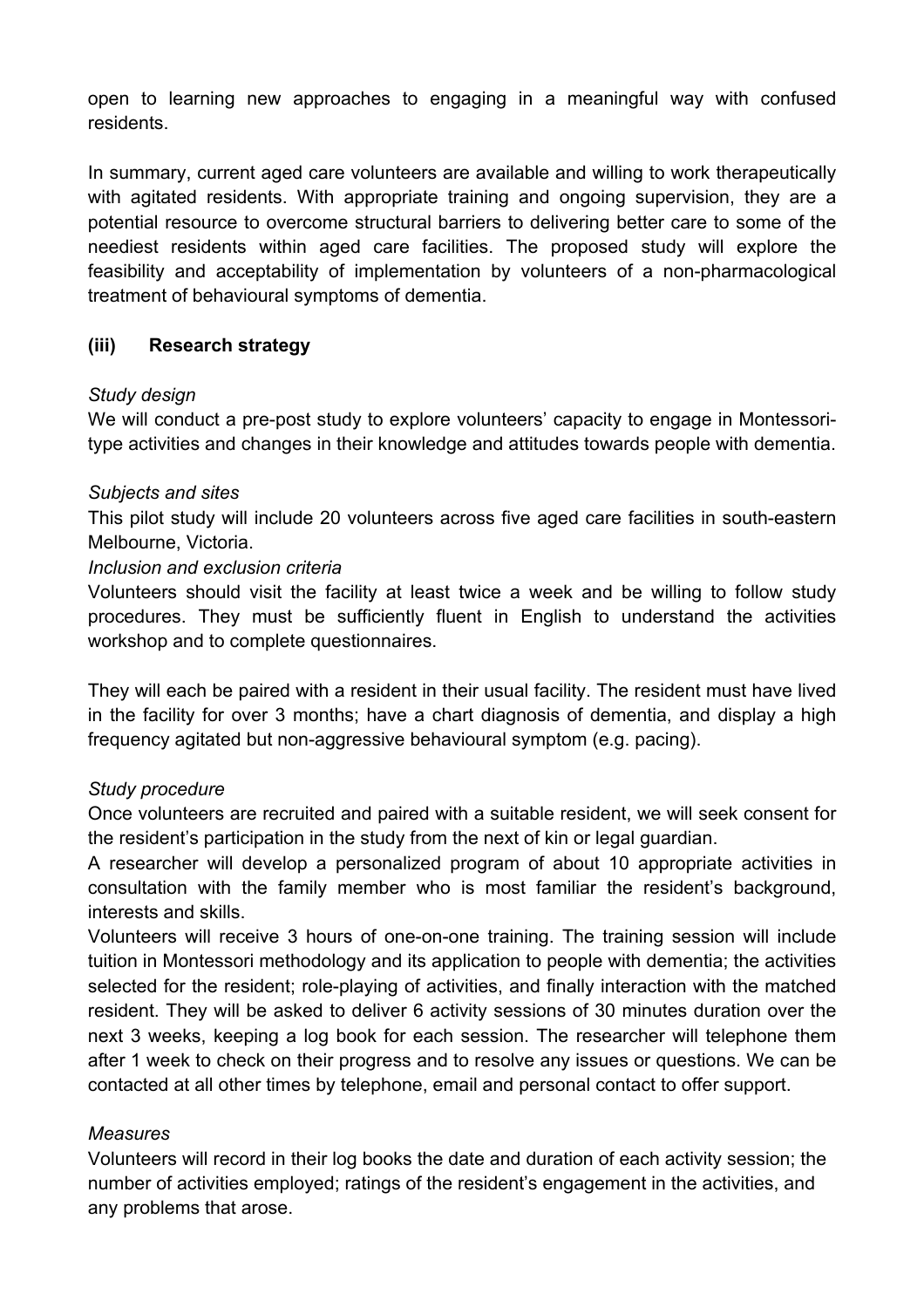open to learning new approaches to engaging in a meaningful way with confused residents.

In summary, current aged care volunteers are available and willing to work therapeutically with agitated residents. With appropriate training and ongoing supervision, they are a potential resource to overcome structural barriers to delivering better care to some of the neediest residents within aged care facilities. The proposed study will explore the feasibility and acceptability of implementation by volunteers of a non-pharmacological treatment of behavioural symptoms of dementia.

# **(iii) Research strategy**

### *Study design*

We will conduct a pre-post study to explore volunteers' capacity to engage in Montessoritype activities and changes in their knowledge and attitudes towards people with dementia.

#### *Subjects and sites*

This pilot study will include 20 volunteers across five aged care facilities in south-eastern Melbourne, Victoria.

#### *Inclusion and exclusion criteria*

Volunteers should visit the facility at least twice a week and be willing to follow study procedures. They must be sufficiently fluent in English to understand the activities workshop and to complete questionnaires.

They will each be paired with a resident in their usual facility. The resident must have lived in the facility for over 3 months; have a chart diagnosis of dementia, and display a high frequency agitated but non-aggressive behavioural symptom (e.g. pacing).

### *Study procedure*

Once volunteers are recruited and paired with a suitable resident, we will seek consent for the resident's participation in the study from the next of kin or legal guardian.

A researcher will develop a personalized program of about 10 appropriate activities in consultation with the family member who is most familiar the resident's background, interests and skills.

Volunteers will receive 3 hours of one-on-one training. The training session will include tuition in Montessori methodology and its application to people with dementia; the activities selected for the resident; role-playing of activities, and finally interaction with the matched resident. They will be asked to deliver 6 activity sessions of 30 minutes duration over the next 3 weeks, keeping a log book for each session. The researcher will telephone them after 1 week to check on their progress and to resolve any issues or questions. We can be contacted at all other times by telephone, email and personal contact to offer support.

### *Measures*

Volunteers will record in their log books the date and duration of each activity session; the number of activities employed; ratings of the resident's engagement in the activities, and any problems that arose.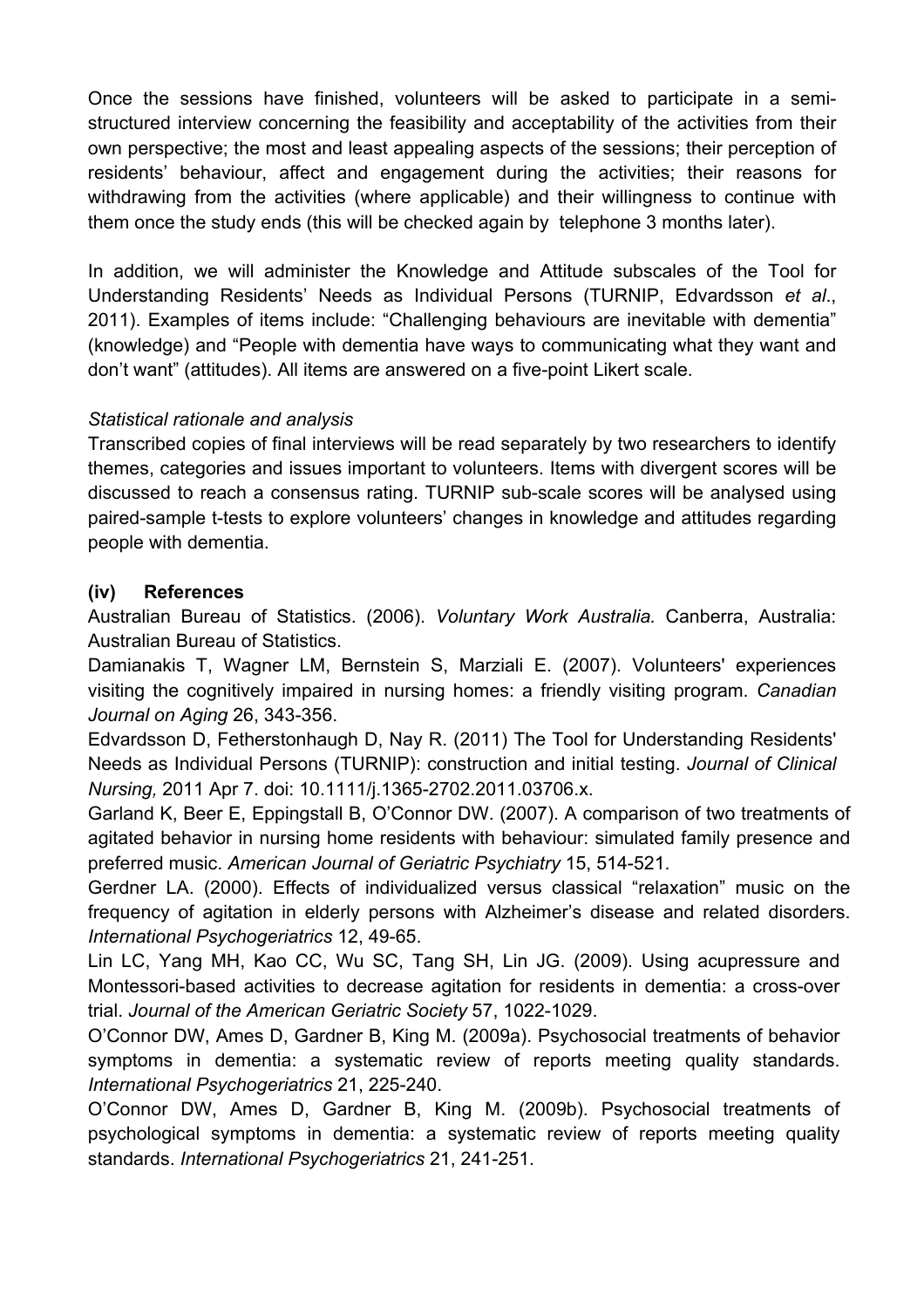Once the sessions have finished, volunteers will be asked to participate in a semistructured interview concerning the feasibility and acceptability of the activities from their own perspective; the most and least appealing aspects of the sessions; their perception of residents' behaviour, affect and engagement during the activities; their reasons for withdrawing from the activities (where applicable) and their willingness to continue with them once the study ends (this will be checked again by telephone 3 months later).

In addition, we will administer the Knowledge and Attitude subscales of the Tool for Understanding Residents' Needs as Individual Persons (TURNIP, Edvardsson *et al*., 2011). Examples of items include: "Challenging behaviours are inevitable with dementia" (knowledge) and "People with dementia have ways to communicating what they want and don't want" (attitudes). All items are answered on a five-point Likert scale.

# *Statistical rationale and analysis*

Transcribed copies of final interviews will be read separately by two researchers to identify themes, categories and issues important to volunteers. Items with divergent scores will be discussed to reach a consensus rating. TURNIP sub-scale scores will be analysed using paired-sample t-tests to explore volunteers' changes in knowledge and attitudes regarding people with dementia.

# **(iv) References**

Australian Bureau of Statistics. (2006). *Voluntary Work Australia.* Canberra, Australia: Australian Bureau of Statistics.

Damianakis T, Wagner LM, Bernstein S, Marziali E. (2007). Volunteers' experiences visiting the cognitively impaired in nursing homes: a friendly visiting program. *Canadian Journal on Aging* 26, 343-356.

Edvardsson D, Fetherstonhaugh D, Nay R. (2011) The Tool for Understanding Residents' Needs as Individual Persons (TURNIP): construction and initial testing. *Journal of Clinical Nursing,* 2011 Apr 7. doi: 10.1111/j.1365-2702.2011.03706.x.

Garland K, Beer E, Eppingstall B, O'Connor DW. (2007). A comparison of two treatments of agitated behavior in nursing home residents with behaviour: simulated family presence and preferred music. *American Journal of Geriatric Psychiatry* 15, 514-521.

Gerdner LA. (2000). Effects of individualized versus classical "relaxation" music on the frequency of agitation in elderly persons with Alzheimer's disease and related disorders. *International Psychogeriatrics* 12, 49-65.

Lin LC, Yang MH, Kao CC, Wu SC, Tang SH, Lin JG. (2009). Using acupressure and Montessori-based activities to decrease agitation for residents in dementia: a cross-over trial. *Journal of the American Geriatric Society* 57, 1022-1029.

O'Connor DW, Ames D, Gardner B, King M. (2009a). Psychosocial treatments of behavior symptoms in dementia: a systematic review of reports meeting quality standards. *International Psychogeriatrics* 21, 225-240.

O'Connor DW, Ames D, Gardner B, King M. (2009b). Psychosocial treatments of psychological symptoms in dementia: a systematic review of reports meeting quality standards. *International Psychogeriatrics* 21, 241-251.